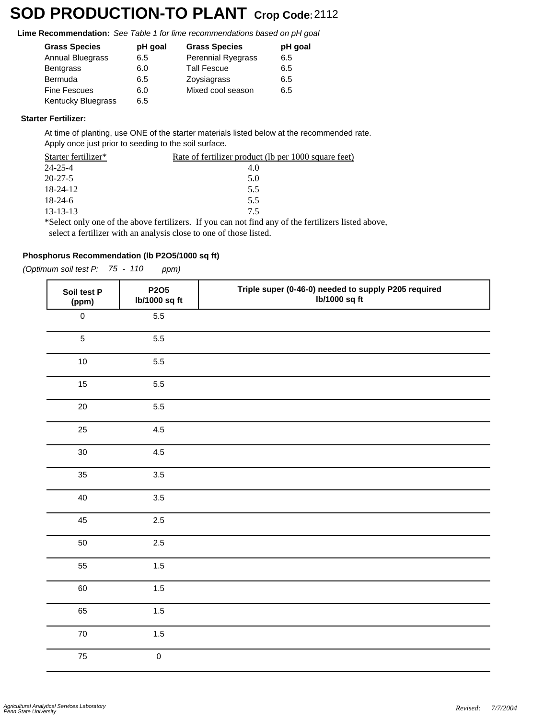## **SOD PRODUCTION-TO PLANT Crop Code:**<sup>2112</sup>

**Lime Recommendation:** *See Table 1 for lime recommendations based on pH goal*

| <b>Grass Species</b>    | pH goal | <b>Grass Species</b> | pH goal |
|-------------------------|---------|----------------------|---------|
| <b>Annual Bluegrass</b> | 6.5     | Perennial Ryegrass   | 6.5     |
| <b>Bentgrass</b>        | 6.0     | <b>Tall Fescue</b>   | 6.5     |
| Bermuda                 | 6.5     | Zoysiagrass          | 6.5     |
| <b>Fine Fescues</b>     | 6.0     | Mixed cool season    | 6.5     |
| Kentucky Bluegrass      | 6.5     |                      |         |

#### **Starter Fertilizer:**

At time of planting, use ONE of the starter materials listed below at the recommended rate. Apply once just prior to seeding to the soil surface.

| Starter fertilizer* | <u>Rate of fertilizer product (lb per 1000 square feet)</u>                                               |
|---------------------|-----------------------------------------------------------------------------------------------------------|
| 24-25-4             | 4.0                                                                                                       |
| $20 - 27 - 5$       | 5.0                                                                                                       |
| 18-24-12            | 5.5                                                                                                       |
| $18-24-6$           | 5.5                                                                                                       |
| 13-13-13            | 75                                                                                                        |
|                     | $\ast$ Select only one of the above fertilizers. If you can not find any of the fertilizers listed above. |

\*Select only one of the above fertilizers. If you can not find any of the fertilizers listed above, select a fertilizer with an analysis close to one of those listed.

#### **Phosphorus Recommendation (lb P2O5/1000 sq ft)**

*(Optimum soil test P: 75 - 110 ppm)*

| Soil test P<br>(ppm) | P2O5<br>lb/1000 sq ft | Triple super (0-46-0) needed to supply P205 required<br>lb/1000 sq ft |
|----------------------|-----------------------|-----------------------------------------------------------------------|
| $\mathsf{O}\xspace$  | 5.5                   |                                                                       |
| $\sqrt{5}$           | 5.5                   |                                                                       |
| 10                   | 5.5                   |                                                                       |
| 15                   | 5.5                   |                                                                       |
| 20                   | 5.5                   |                                                                       |
| 25                   | 4.5                   |                                                                       |
| 30                   | 4.5                   |                                                                       |
| 35                   | 3.5                   |                                                                       |
| 40                   | 3.5                   |                                                                       |
| 45                   | $2.5\,$               |                                                                       |
| $50\,$               | $2.5\,$               |                                                                       |
| 55                   | 1.5                   |                                                                       |
| 60                   | 1.5                   |                                                                       |
| 65                   | 1.5                   |                                                                       |
| ${\bf 70}$           | $1.5\,$               |                                                                       |
| 75                   | $\mathsf{O}\xspace$   |                                                                       |